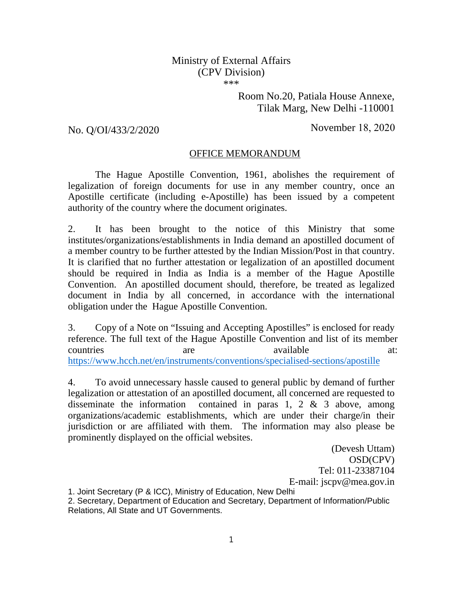## Ministry of External Affairs (CPV Division) \*\*\*

Room No.20, Patiala House Annexe, Tilak Marg, New Delhi -110001

No. O/OI/433/2/2020 November 18, 2020

## OFFICE MEMORANDUM

The Hague Apostille Convention, 1961, abolishes the requirement of legalization of foreign documents for use in any member country, once an Apostille certificate (including e-Apostille) has been issued by a competent authority of the country where the document originates.

2. It has been brought to the notice of this Ministry that some institutes/organizations/establishments in India demand an apostilled document of a member country to be further attested by the Indian Mission/Post in that country. It is clarified that no further attestation or legalization of an apostilled document should be required in India as India is a member of the Hague Apostille Convention. An apostilled document should, therefore, be treated as legalized document in India by all concerned, in accordance with the international obligation under the Hague Apostille Convention.

3. Copy of a Note on "Issuing and Accepting Apostilles" is enclosed for ready reference. The full text of the Hague Apostille Convention and list of its member countries are available at: https://www.hcch.net/en/instruments/conventions/specialised-sections/apostille

4. To avoid unnecessary hassle caused to general public by demand of further legalization or attestation of an apostilled document, all concerned are requested to disseminate the information contained in paras 1, 2  $\&$  3 above, among organizations/academic establishments, which are under their charge/in their jurisdiction or are affiliated with them. The information may also please be prominently displayed on the official websites.

> (Devesh Uttam) OSD(CPV) Tel: 011-23387104 E-mail: jscpv@mea.gov.in

1. Joint Secretary (P & ICC), Ministry of Education, New Delhi

2. Secretary, Department of Education and Secretary, Department of Information/Public Relations, All State and UT Governments.